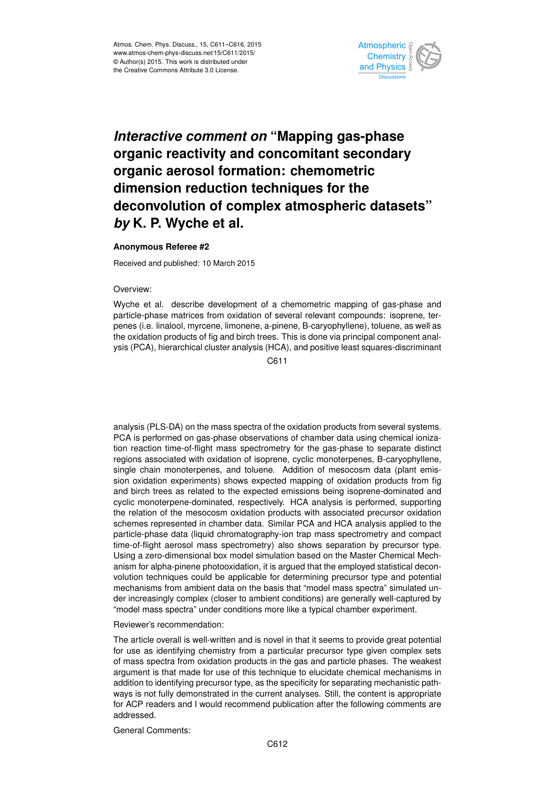

## *Interactive comment on* **"Mapping gas-phase organic reactivity and concomitant secondary organic aerosol formation: chemometric dimension reduction techniques for the deconvolution of complex atmospheric datasets"** *by* **K. P. Wyche et al.**

## **Anonymous Referee #2**

Received and published: 10 March 2015

## Overview:

Wyche et al. describe development of a chemometric mapping of gas-phase and particle-phase matrices from oxidation of several relevant compounds: isoprene, terpenes (i.e. linalool, myrcene, limonene, a-pinene, B-caryophyllene), toluene, as well as the oxidation products of fig and birch trees. This is done via principal component analysis (PCA), hierarchical cluster analysis (HCA), and positive least squares-discriminant

C611

analysis (PLS-DA) on the mass spectra of the oxidation products from several systems. PCA is performed on gas-phase observations of chamber data using chemical ionization reaction time-of-flight mass spectrometry for the gas-phase to separate distinct regions associated with oxidation of isoprene, cyclic monoterpenes, B-caryophyllene, single chain monoterpenes, and toluene. Addition of mesocosm data (plant emission oxidation experiments) shows expected mapping of oxidation products from fig and birch trees as related to the expected emissions being isoprene-dominated and cyclic monoterpene-dominated, respectively. HCA analysis is performed, supporting the relation of the mesocosm oxidation products with associated precursor oxidation schemes represented in chamber data. Similar PCA and HCA analysis applied to the particle-phase data (liquid chromatography-ion trap mass spectrometry and compact time-of-flight aerosol mass spectrometry) also shows separation by precursor type. Using a zero-dimensional box model simulation based on the Master Chemical Mechanism for alpha-pinene photooxidation, it is argued that the employed statistical deconvolution techniques could be applicable for determining precursor type and potential mechanisms from ambient data on the basis that "model mass spectra" simulated under increasingly complex (closer to ambient conditions) are generally well-captured by "model mass spectra" under conditions more like a typical chamber experiment.

## Reviewer's recommendation:

The article overall is well-written and is novel in that it seems to provide great potential for use as identifying chemistry from a particular precursor type given complex sets of mass spectra from oxidation products in the gas and particle phases. The weakest argument is that made for use of this technique to elucidate chemical mechanisms in addition to identifying precursor type, as the specificity for separating mechanistic pathways is not fully demonstrated in the current analyses. Still, the content is appropriate for ACP readers and I would recommend publication after the following comments are addressed.

General Comments: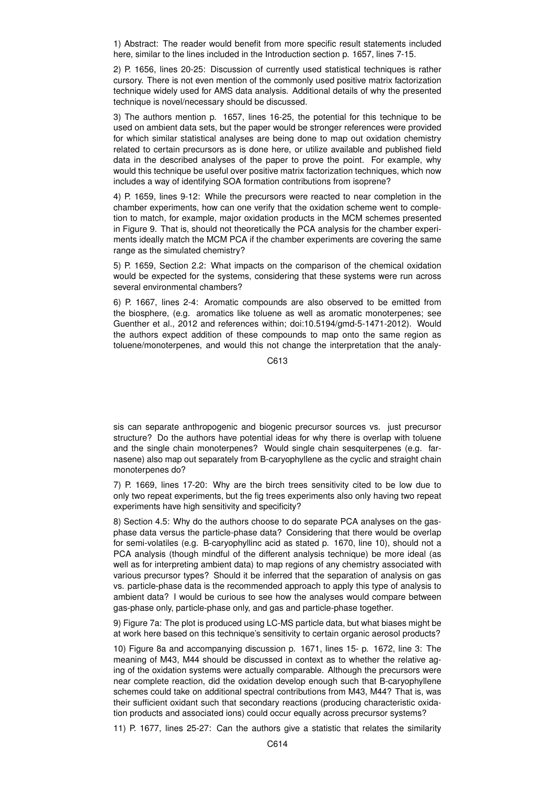1) Abstract: The reader would benefit from more specific result statements included here, similar to the lines included in the Introduction section p. 1657, lines 7-15.

2) P. 1656, lines 20-25: Discussion of currently used statistical techniques is rather cursory. There is not even mention of the commonly used positive matrix factorization technique widely used for AMS data analysis. Additional details of why the presented technique is novel/necessary should be discussed.

3) The authors mention p. 1657, lines 16-25, the potential for this technique to be used on ambient data sets, but the paper would be stronger references were provided for which similar statistical analyses are being done to map out oxidation chemistry related to certain precursors as is done here, or utilize available and published field data in the described analyses of the paper to prove the point. For example, why would this technique be useful over positive matrix factorization techniques, which now includes a way of identifying SOA formation contributions from isoprene?

4) P. 1659, lines 9-12: While the precursors were reacted to near completion in the chamber experiments, how can one verify that the oxidation scheme went to completion to match, for example, major oxidation products in the MCM schemes presented in Figure 9. That is, should not theoretically the PCA analysis for the chamber experiments ideally match the MCM PCA if the chamber experiments are covering the same range as the simulated chemistry?

5) P. 1659, Section 2.2: What impacts on the comparison of the chemical oxidation would be expected for the systems, considering that these systems were run across several environmental chambers?

6) P. 1667, lines 2-4: Aromatic compounds are also observed to be emitted from the biosphere, (e.g. aromatics like toluene as well as aromatic monoterpenes; see Guenther et al., 2012 and references within; doi:10.5194/gmd-5-1471-2012). Would the authors expect addition of these compounds to map onto the same region as toluene/monoterpenes, and would this not change the interpretation that the analy-

C613

sis can separate anthropogenic and biogenic precursor sources vs. just precursor structure? Do the authors have potential ideas for why there is overlap with toluene and the single chain monoterpenes? Would single chain sesquiterpenes (e.g. farnasene) also map out separately from B-caryophyllene as the cyclic and straight chain monoterpenes do?

7) P. 1669, lines 17-20: Why are the birch trees sensitivity cited to be low due to only two repeat experiments, but the fig trees experiments also only having two repeat experiments have high sensitivity and specificity?

8) Section 4.5: Why do the authors choose to do separate PCA analyses on the gasphase data versus the particle-phase data? Considering that there would be overlap for semi-volatiles (e.g. B-caryophyllinc acid as stated p. 1670, line 10), should not a PCA analysis (though mindful of the different analysis technique) be more ideal (as well as for interpreting ambient data) to map regions of any chemistry associated with various precursor types? Should it be inferred that the separation of analysis on gas vs. particle-phase data is the recommended approach to apply this type of analysis to ambient data? I would be curious to see how the analyses would compare between gas-phase only, particle-phase only, and gas and particle-phase together.

9) Figure 7a: The plot is produced using LC-MS particle data, but what biases might be at work here based on this technique's sensitivity to certain organic aerosol products?

10) Figure 8a and accompanying discussion p. 1671, lines 15- p. 1672, line 3: The meaning of M43, M44 should be discussed in context as to whether the relative aging of the oxidation systems were actually comparable. Although the precursors were near complete reaction, did the oxidation develop enough such that B-caryophyllene schemes could take on additional spectral contributions from M43, M44? That is, was their sufficient oxidant such that secondary reactions (producing characteristic oxidation products and associated ions) could occur equally across precursor systems?

11) P. 1677, lines 25-27: Can the authors give a statistic that relates the similarity